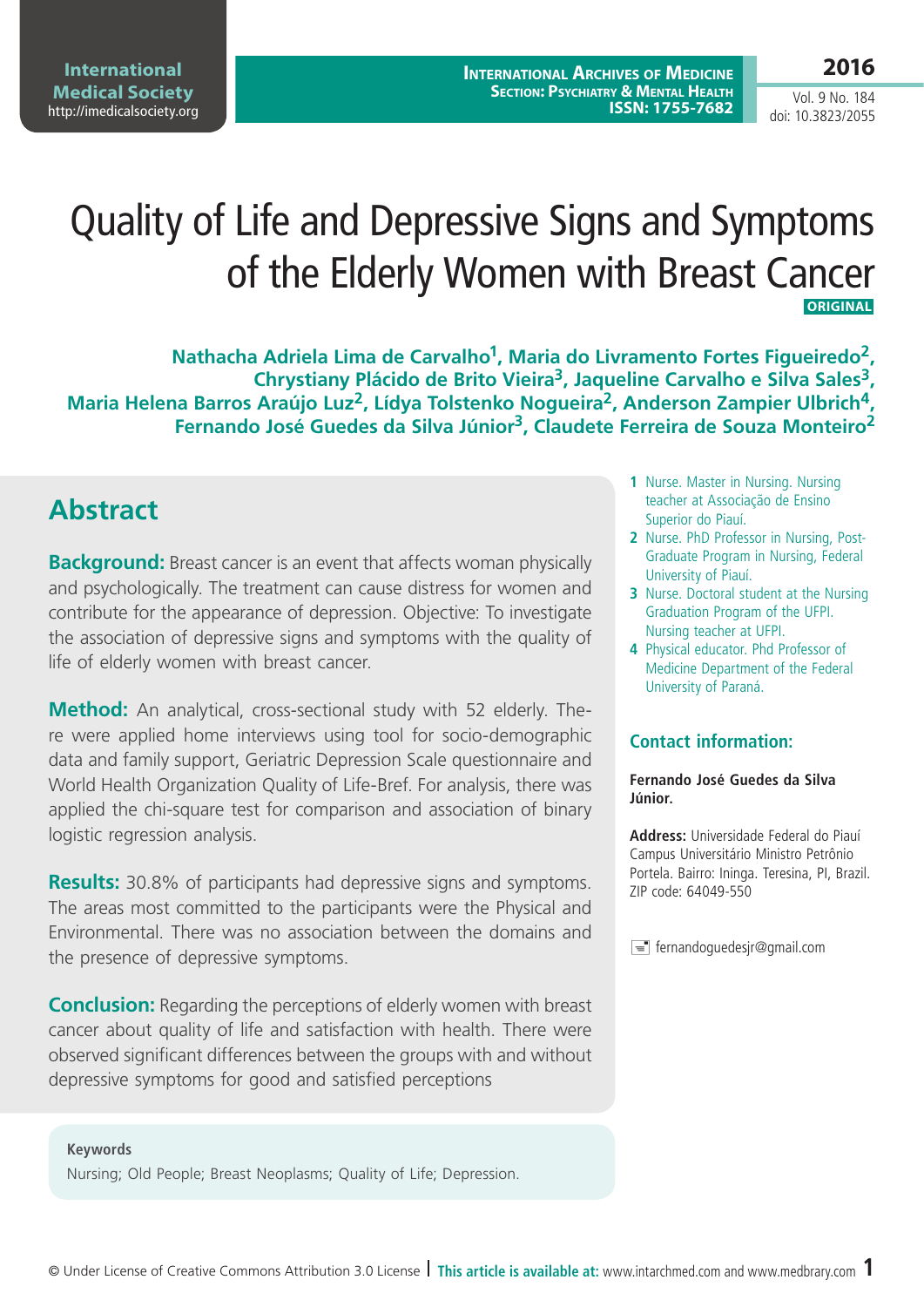**International Archives of Medicine Section: Psychiatry & Mental Health ISSN: 1755-7682**

# **2016**

Vol. 9 No. 184 doi: 10.3823/2055

# Quality of Life and Depressive Signs and Symptoms of the Elderly Women with Breast Cancer  **ORIGINAL**

**Nathacha Adriela Lima de Carvalho1, Maria do Livramento Fortes Figueiredo2, Chrystiany Plácido de Brito Vieira3, Jaqueline Carvalho e Silva Sales3, Maria Helena Barros Araújo Luz2, Lídya Tolstenko Nogueira2, Anderson Zampier Ulbrich4, Fernando José Guedes da Silva Júnior3, Claudete Ferreira de Souza Monteiro2**

# **Abstract**

**Background:** Breast cancer is an event that affects woman physically and psychologically. The treatment can cause distress for women and contribute for the appearance of depression. Objective: To investigate the association of depressive signs and symptoms with the quality of life of elderly women with breast cancer.

**Method:** An analytical, cross-sectional study with 52 elderly. There were applied home interviews using tool for socio-demographic data and family support, Geriatric Depression Scale questionnaire and World Health Organization Quality of Life-Bref. For analysis, there was applied the chi-square test for comparison and association of binary logistic regression analysis.

**Results:** 30.8% of participants had depressive signs and symptoms. The areas most committed to the participants were the Physical and Environmental. There was no association between the domains and the presence of depressive symptoms.

**Conclusion:** Regarding the perceptions of elderly women with breast cancer about quality of life and satisfaction with health. There were observed significant differences between the groups with and without depressive symptoms for good and satisfied perceptions

#### **Keywords**

Nursing; Old People; Breast Neoplasms; Quality of Life; Depression.

- **1** Nurse. Master in Nursing. Nursing teacher at Associação de Ensino Superior do Piauí.
- **2** Nurse. PhD Professor in Nursing, Post-Graduate Program in Nursing, Federal University of Piauí.
- **3** Nurse. Doctoral student at the Nursing Graduation Program of the UFPI. Nursing teacher at UFPI.
- **4** Physical educator. Phd Professor of Medicine Department of the Federal University of Paraná.

#### **Contact information:**

#### **Fernando José Guedes da Silva Júnior.**

**Address:** Universidade Federal do Piauí Campus Universitário Ministro Petrônio Portela. Bairro: Ininga. Teresina, PI, Brazil. ZIP code: 64049-550

 $\equiv$  fernandoguedesjr@gmail.com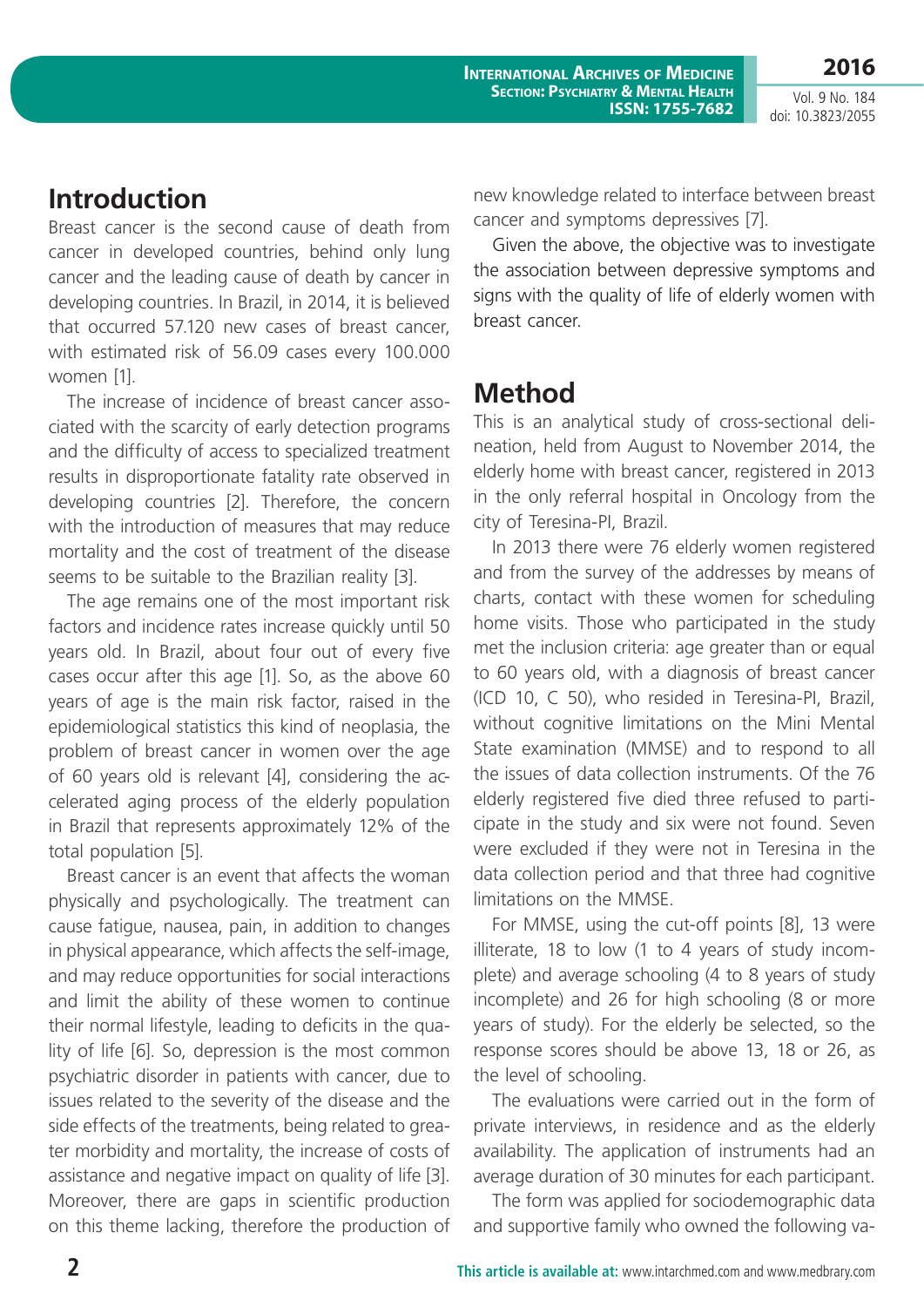**2016**

Vol. 9 No. 184 doi: 10.3823/2055

### **Introduction**

Breast cancer is the second cause of death from cancer in developed countries, behind only lung cancer and the leading cause of death by cancer in developing countries. In Brazil, in 2014, it is believed that occurred 57.120 new cases of breast cancer, with estimated risk of 56.09 cases every 100.000 women [1].

The increase of incidence of breast cancer associated with the scarcity of early detection programs and the difficulty of access to specialized treatment results in disproportionate fatality rate observed in developing countries [2]. Therefore, the concern with the introduction of measures that may reduce mortality and the cost of treatment of the disease seems to be suitable to the Brazilian reality [3].

The age remains one of the most important risk factors and incidence rates increase quickly until 50 years old. In Brazil, about four out of every five cases occur after this age [1]. So, as the above 60 years of age is the main risk factor, raised in the epidemiological statistics this kind of neoplasia, the problem of breast cancer in women over the age of 60 years old is relevant [4], considering the accelerated aging process of the elderly population in Brazil that represents approximately 12% of the total population [5].

Breast cancer is an event that affects the woman physically and psychologically. The treatment can cause fatigue, nausea, pain, in addition to changes in physical appearance, which affects the self-image, and may reduce opportunities for social interactions and limit the ability of these women to continue their normal lifestyle, leading to deficits in the quality of life [6]. So, depression is the most common psychiatric disorder in patients with cancer, due to issues related to the severity of the disease and the side effects of the treatments, being related to greater morbidity and mortality, the increase of costs of assistance and negative impact on quality of life [3]. Moreover, there are gaps in scientific production on this theme lacking, therefore the production of new knowledge related to interface between breast cancer and symptoms depressives [7].

Given the above, the objective was to investigate the association between depressive symptoms and signs with the quality of life of elderly women with breast cancer.

# **Method**

This is an analytical study of cross-sectional delineation, held from August to November 2014, the elderly home with breast cancer, registered in 2013 in the only referral hospital in Oncology from the city of Teresina-PI, Brazil.

In 2013 there were 76 elderly women registered and from the survey of the addresses by means of charts, contact with these women for scheduling home visits. Those who participated in the study met the inclusion criteria: age greater than or equal to 60 years old, with a diagnosis of breast cancer (ICD 10, C 50), who resided in Teresina-PI, Brazil, without cognitive limitations on the Mini Mental State examination (MMSE) and to respond to all the issues of data collection instruments. Of the 76 elderly registered five died three refused to participate in the study and six were not found. Seven were excluded if they were not in Teresina in the data collection period and that three had cognitive limitations on the MMSE.

For MMSE, using the cut-off points [8], 13 were illiterate, 18 to low (1 to 4 years of study incomplete) and average schooling (4 to 8 years of study incomplete) and 26 for high schooling (8 or more years of study). For the elderly be selected, so the response scores should be above 13, 18 or 26, as the level of schooling.

The evaluations were carried out in the form of private interviews, in residence and as the elderly availability. The application of instruments had an average duration of 30 minutes for each participant.

The form was applied for sociodemographic data and supportive family who owned the following va-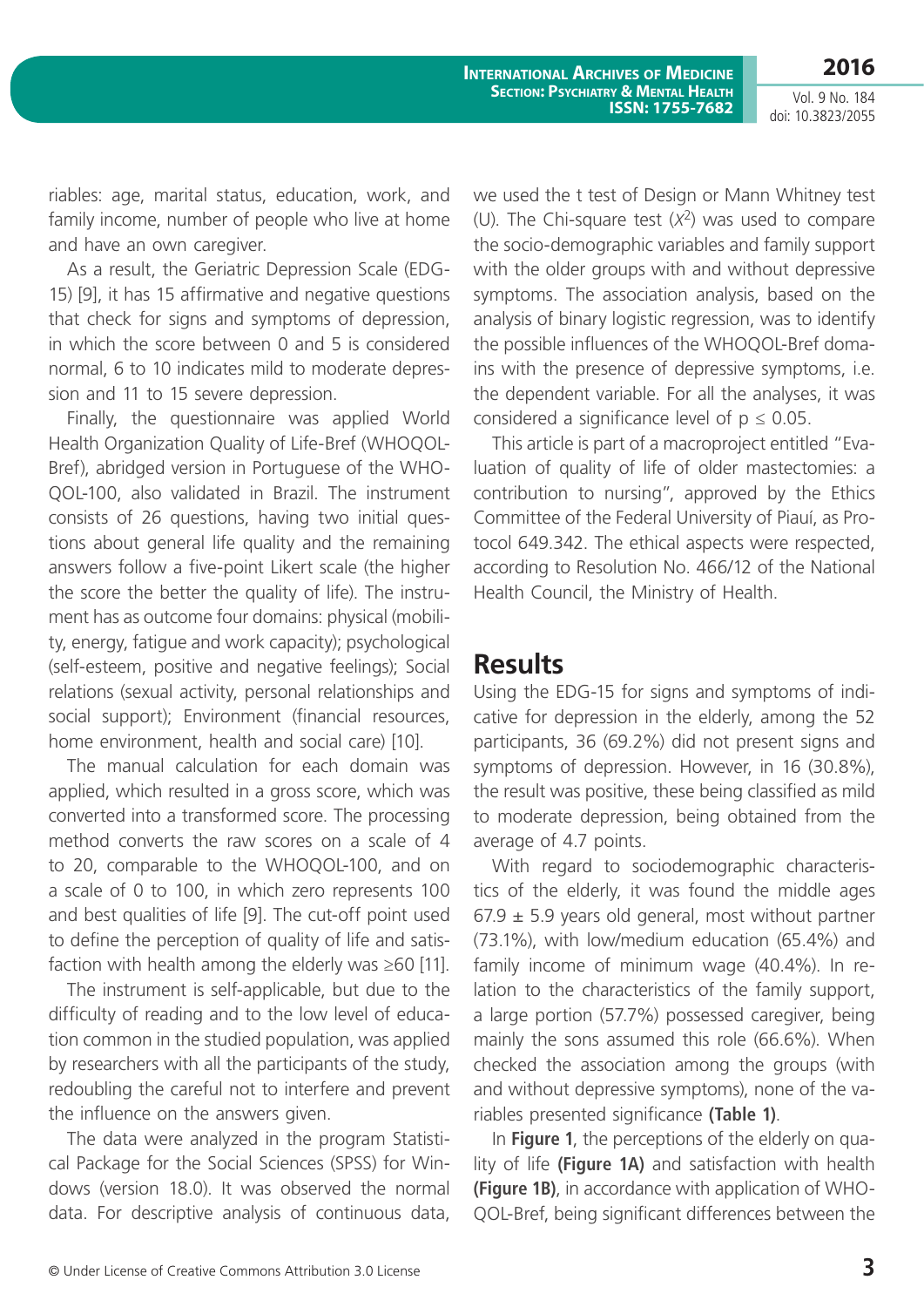Vol. 9 No. 184

**2016**

doi: 10.3823/2055

riables: age, marital status, education, work, and family income, number of people who live at home and have an own caregiver.

As a result, the Geriatric Depression Scale (EDG-15) [9], it has 15 affirmative and negative questions that check for signs and symptoms of depression, in which the score between 0 and 5 is considered normal, 6 to 10 indicates mild to moderate depression and 11 to 15 severe depression.

Finally, the questionnaire was applied World Health Organization Quality of Life-Bref (WHOQOL-Bref), abridged version in Portuguese of the WHO-QOL-100, also validated in Brazil. The instrument consists of 26 questions, having two initial questions about general life quality and the remaining answers follow a five-point Likert scale (the higher the score the better the quality of life). The instrument has as outcome four domains: physical (mobility, energy, fatigue and work capacity); psychological (self-esteem, positive and negative feelings); Social relations (sexual activity, personal relationships and social support); Environment (financial resources, home environment, health and social care) [10].

The manual calculation for each domain was applied, which resulted in a gross score, which was converted into a transformed score. The processing method converts the raw scores on a scale of 4 to 20, comparable to the WHOQOL-100, and on a scale of 0 to 100, in which zero represents 100 and best qualities of life [9]. The cut-off point used to define the perception of quality of life and satisfaction with health among the elderly was  $\geq 60$  [11].

The instrument is self-applicable, but due to the difficulty of reading and to the low level of education common in the studied population, was applied by researchers with all the participants of the study, redoubling the careful not to interfere and prevent the influence on the answers given.

The data were analyzed in the program Statistical Package for the Social Sciences (SPSS) for Windows (version 18.0). It was observed the normal data. For descriptive analysis of continuous data, we used the t test of Design or Mann Whitney test (U). The Chi-square test (*X*2) was used to compare the socio-demographic variables and family support with the older groups with and without depressive symptoms. The association analysis, based on the analysis of binary logistic regression, was to identify the possible influences of the WHOQOL-Bref domains with the presence of depressive symptoms, i.e. the dependent variable. For all the analyses, it was considered a significance level of  $p \le 0.05$ .

This article is part of a macroproject entitled "Evaluation of quality of life of older mastectomies: a contribution to nursing", approved by the Ethics Committee of the Federal University of Piauí, as Protocol 649.342. The ethical aspects were respected, according to Resolution No. 466/12 of the National Health Council, the Ministry of Health.

#### **Results**

Using the EDG-15 for signs and symptoms of indicative for depression in the elderly, among the 52 participants, 36 (69.2%) did not present signs and symptoms of depression. However, in 16 (30.8%), the result was positive, these being classified as mild to moderate depression, being obtained from the average of 4.7 points.

With regard to sociodemographic characteristics of the elderly, it was found the middle ages  $67.9 \pm 5.9$  years old general, most without partner (73.1%), with low/medium education (65.4%) and family income of minimum wage (40.4%). In relation to the characteristics of the family support, a large portion (57.7%) possessed caregiver, being mainly the sons assumed this role (66.6%). When checked the association among the groups (with and without depressive symptoms), none of the variables presented significance **(Table 1)**.

In **Figure 1**, the perceptions of the elderly on quality of life **(Figure 1A)** and satisfaction with health **(Figure 1B)**, in accordance with application of WHO-QOL-Bref, being significant differences between the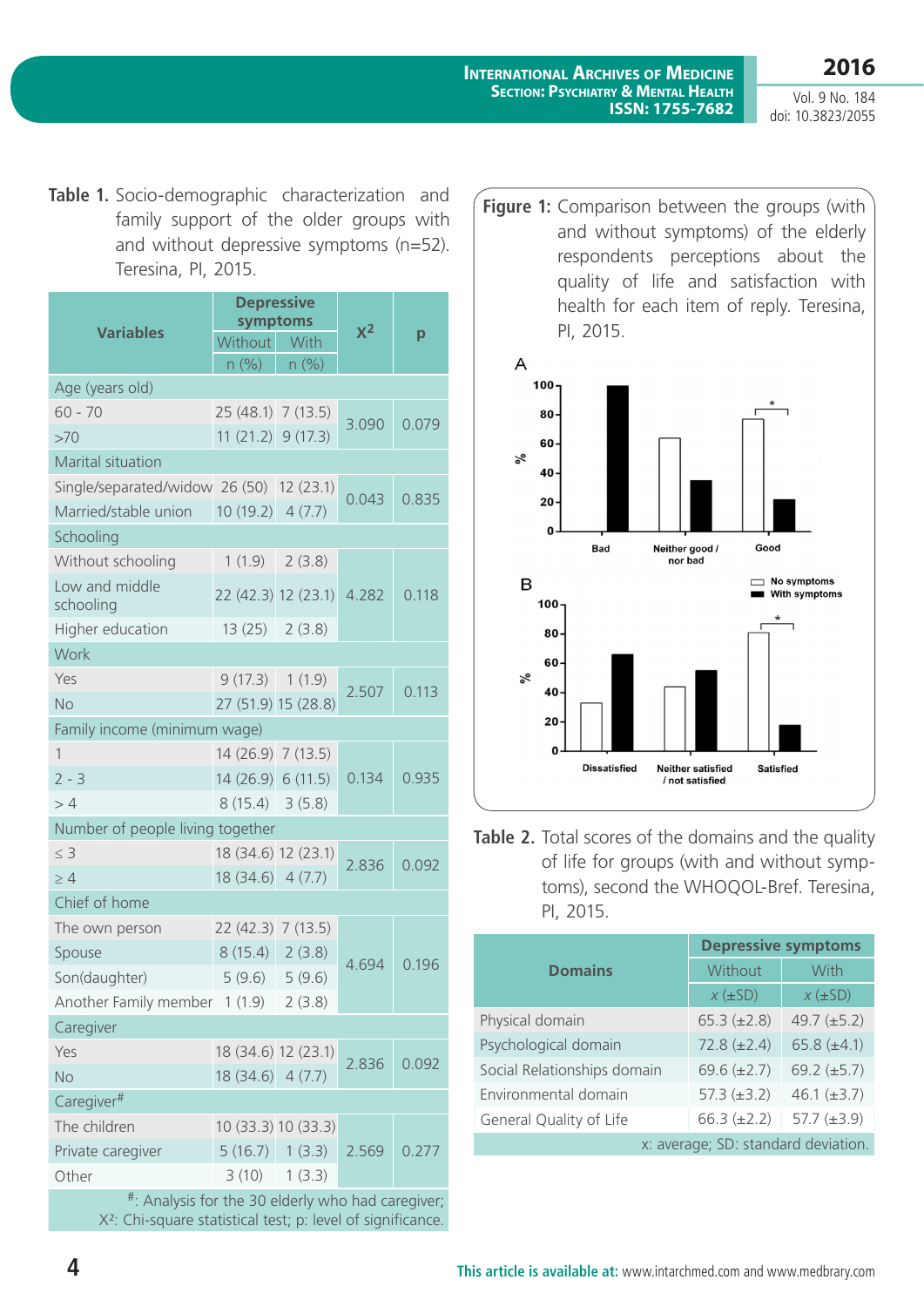**International Archives of Medicine Section: Psychiatry & Mental Health ISSN: 1755-7682**

Vol. 9 No. 184 doi: 10.3823/2055

**2016**

**Table 1.** Socio-demographic characterization and family support of the older groups with and without depressive symptoms (n=52). Teresina, PI, 2015.

| symptoms<br>$X^2$<br><b>Variables</b><br>р<br>Without With           |       |  |  |  |  |
|----------------------------------------------------------------------|-------|--|--|--|--|
|                                                                      |       |  |  |  |  |
| n (%)<br>n(%)                                                        |       |  |  |  |  |
| Age (years old)                                                      |       |  |  |  |  |
| $60 - 70$<br>25 (48.1) 7 (13.5)<br>3.090                             | 0.079 |  |  |  |  |
| $11(21.2)$ 9 (17.3)<br>>70                                           |       |  |  |  |  |
| Marital situation                                                    |       |  |  |  |  |
| Single/separated/widow 26 (50) 12 (23.1)<br>0.043                    | 0.835 |  |  |  |  |
| 10(19.2)<br>Married/stable union<br>4(7.7)                           |       |  |  |  |  |
| Schooling                                                            |       |  |  |  |  |
| Without schooling<br>1(1.9)<br>2(3.8)                                |       |  |  |  |  |
| Low and middle<br>22 (42.3) 12 (23.1)<br>4.282<br>0.118<br>schooling |       |  |  |  |  |
| 13(25)<br>Higher education<br>2(3.8)                                 |       |  |  |  |  |
| Work                                                                 |       |  |  |  |  |
| 9(17.3) 1(1.9)<br>Yes                                                |       |  |  |  |  |
| 2.507<br>27 (51.9) 15 (28.8)<br><b>No</b>                            | 0.113 |  |  |  |  |
| Family income (minimum wage)                                         |       |  |  |  |  |
| $\mathbf{1}$<br>14 (26.9) 7 (13.5)                                   | 0.935 |  |  |  |  |
| $2 - 3$<br>0.134<br>14(26.9) 6(11.5)                                 |       |  |  |  |  |
| $8(15.4) \quad 3(5.8)$<br>>4                                         |       |  |  |  |  |
| Number of people living together                                     |       |  |  |  |  |
| $\leq 3$<br>18 (34.6) 12 (23.1)<br>2.836<br>0.092                    |       |  |  |  |  |
| 18(34.6) 4(7.7)<br>$\geq 4$                                          |       |  |  |  |  |
| Chief of home                                                        |       |  |  |  |  |
| The own person<br>22 (42.3) 7 (13.5)                                 |       |  |  |  |  |
| 8(15.4)<br>2(3.8)<br>Spouse<br>4.694                                 | 0.196 |  |  |  |  |
| 5(9.6)<br>5(9.6)<br>Son(daughter)                                    |       |  |  |  |  |
| Another Family member 1 (1.9) 2 (3.8)                                |       |  |  |  |  |
| Caregiver                                                            |       |  |  |  |  |
| Yes<br>18 (34.6) 12 (23.1)<br>2.836                                  | 0.092 |  |  |  |  |
| $18(34.6)$ 4 (7.7)<br><b>No</b>                                      |       |  |  |  |  |
| Caregiver <sup>#</sup>                                               |       |  |  |  |  |
| The children<br>10 (33.3) 10 (33.3)                                  |       |  |  |  |  |
| 5(16.7) 1(3.3)<br>Private caregiver<br>2.569<br>0.277                |       |  |  |  |  |
| Other<br>$3(10)$ 1 $(3.3)$<br>$#$ .                                  |       |  |  |  |  |

Analysis for the 30 elderly who had caregiver; X²: Chi-square statistical test; p: level of significance. **Figure 1:** Comparison between the groups (with and without symptoms) of the elderly respondents perceptions about the quality of life and satisfaction with health for each item of reply. Teresina, PI, 2015.



Table 2. Total scores of the domains and the quality of life for groups (with and without symptoms), second the WHOQOL-Bref. Teresina, PI, 2015.

|                                     | <b>Depressive symptoms</b> |                  |  |
|-------------------------------------|----------------------------|------------------|--|
| <b>Domains</b>                      | Without                    | With             |  |
|                                     | $x(\pm SD)$                | $x(\pm SD)$      |  |
| Physical domain                     | $65.3 (\pm 2.8)$           | 49.7 $(\pm 5.2)$ |  |
| Psychological domain                | $72.8 (\pm 2.4)$           | 65.8 $(\pm 4.1)$ |  |
| Social Relationships domain         | 69.6 $(\pm 2.7)$           | 69.2 $(\pm 5.7)$ |  |
| Environmental domain                | $57.3 (\pm 3.2)$           | 46.1 $(\pm 3.7)$ |  |
| General Quality of Life             | $66.3 (\pm 2.2)$           | 57.7 $(\pm 3.9)$ |  |
| x: average; SD: standard deviation. |                            |                  |  |

**4 This article is available at:** [www.intarchmed.com](http://www.intarchmed.com) and www.medbrary.com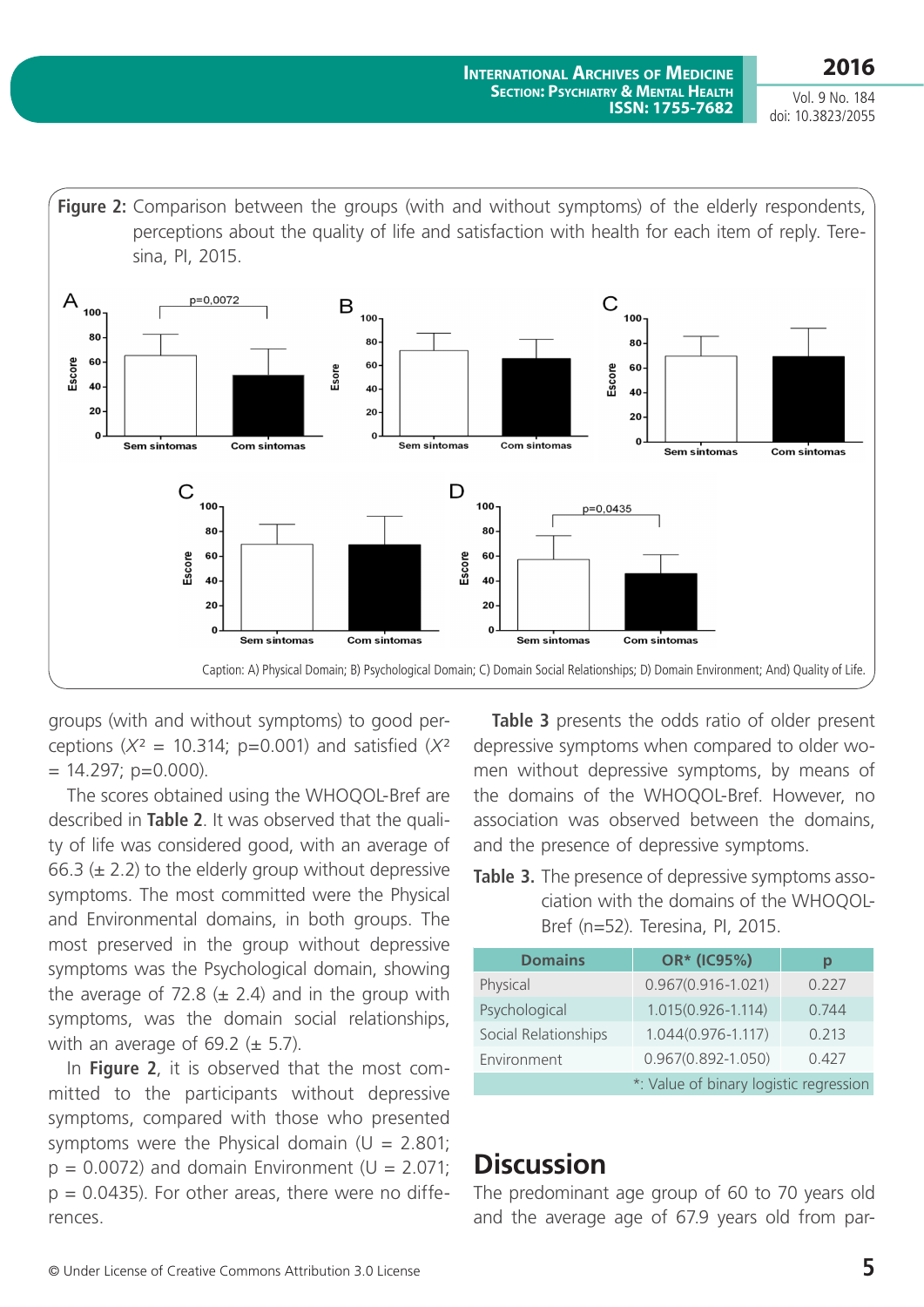Vol. 9 No. 184 doi: 10.3823/2055



groups (with and without symptoms) to good perceptions  $(X^2 = 10.314; p=0.001)$  and satisfied  $(X^2)$  $= 14.297$ ; p=0.000).

The scores obtained using the WHOQOL-Bref are described in **Table 2**. It was observed that the quality of life was considered good, with an average of 66.3  $(\pm 2.2)$  to the elderly group without depressive symptoms. The most committed were the Physical and Environmental domains, in both groups. The most preserved in the group without depressive symptoms was the Psychological domain, showing the average of 72.8  $(\pm 2.4)$  and in the group with symptoms, was the domain social relationships, with an average of 69.2 ( $\pm$  5.7).

In **Figure 2**, it is observed that the most committed to the participants without depressive symptoms, compared with those who presented symptoms were the Physical domain ( $U = 2.801$ ;  $p = 0.0072$ ) and domain Environment ( $U = 2.071$ ;  $p = 0.0435$ ). For other areas, there were no differences.

**Table 3** presents the odds ratio of older present depressive symptoms when compared to older women without depressive symptoms, by means of the domains of the WHOQOL-Bref. However, no association was observed between the domains, and the presence of depressive symptoms.

#### **Table 3.** The presence of depressive symptoms association with the domains of the WHOQOL-Bref (n=52). Teresina, PI, 2015.

| <b>Domains</b>                         | OR* (IC95%)            | р     |
|----------------------------------------|------------------------|-------|
| Physical                               | $0.967(0.916 - 1.021)$ | 0.227 |
| Psychological                          | 1.015(0.926-1.114)     | 0.744 |
| Social Relationships                   | $1.044(0.976 - 1.117)$ | 0.213 |
| Environment                            | $0.967(0.892 - 1.050)$ | 0.427 |
| *: Value of binary logistic regression |                        |       |

# **Discussion**

The predominant age group of 60 to 70 years old and the average age of 67.9 years old from par-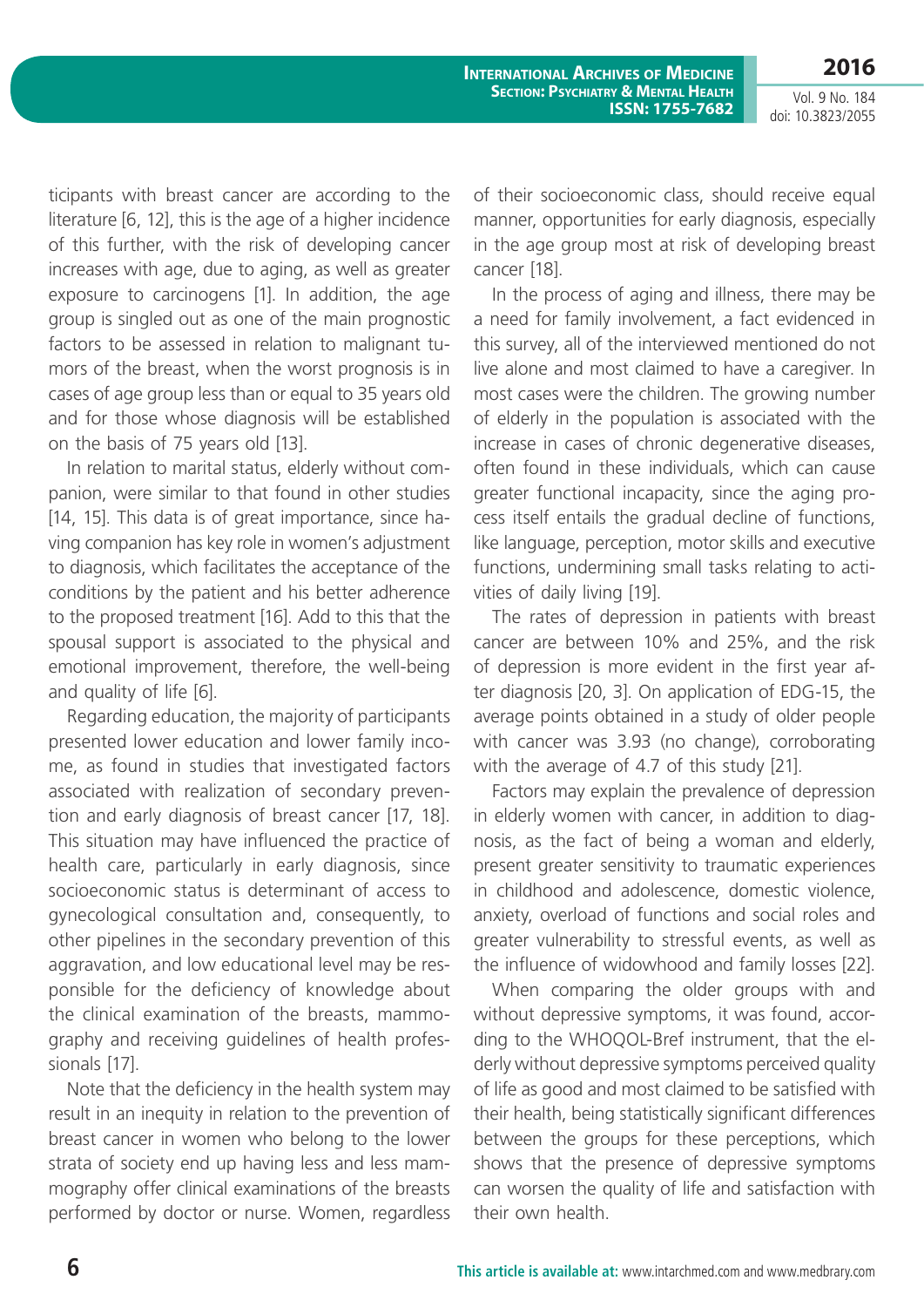**2016** Vol. 9 No. 184

doi: 10.3823/2055

ticipants with breast cancer are according to the literature [6, 12], this is the age of a higher incidence of this further, with the risk of developing cancer increases with age, due to aging, as well as greater exposure to carcinogens [1]. In addition, the age group is singled out as one of the main prognostic factors to be assessed in relation to malignant tumors of the breast, when the worst prognosis is in cases of age group less than or equal to 35 years old and for those whose diagnosis will be established on the basis of 75 years old [13].

In relation to marital status, elderly without companion, were similar to that found in other studies [14, 15]. This data is of great importance, since having companion has key role in women's adjustment to diagnosis, which facilitates the acceptance of the conditions by the patient and his better adherence to the proposed treatment [16]. Add to this that the spousal support is associated to the physical and emotional improvement, therefore, the well-being and quality of life [6].

Regarding education, the majority of participants presented lower education and lower family income, as found in studies that investigated factors associated with realization of secondary prevention and early diagnosis of breast cancer [17, 18]. This situation may have influenced the practice of health care, particularly in early diagnosis, since socioeconomic status is determinant of access to gynecological consultation and, consequently, to other pipelines in the secondary prevention of this aggravation, and low educational level may be responsible for the deficiency of knowledge about the clinical examination of the breasts, mammography and receiving guidelines of health professionals [17].

Note that the deficiency in the health system may result in an inequity in relation to the prevention of breast cancer in women who belong to the lower strata of society end up having less and less mammography offer clinical examinations of the breasts performed by doctor or nurse. Women, regardless of their socioeconomic class, should receive equal manner, opportunities for early diagnosis, especially in the age group most at risk of developing breast cancer [18].

In the process of aging and illness, there may be a need for family involvement, a fact evidenced in this survey, all of the interviewed mentioned do not live alone and most claimed to have a caregiver. In most cases were the children. The growing number of elderly in the population is associated with the increase in cases of chronic degenerative diseases, often found in these individuals, which can cause greater functional incapacity, since the aging process itself entails the gradual decline of functions, like language, perception, motor skills and executive functions, undermining small tasks relating to activities of daily living [19].

The rates of depression in patients with breast cancer are between 10% and 25%, and the risk of depression is more evident in the first year after diagnosis [20, 3]. On application of EDG-15, the average points obtained in a study of older people with cancer was 3.93 (no change), corroborating with the average of 4.7 of this study [21].

Factors may explain the prevalence of depression in elderly women with cancer, in addition to diagnosis, as the fact of being a woman and elderly, present greater sensitivity to traumatic experiences in childhood and adolescence, domestic violence, anxiety, overload of functions and social roles and greater vulnerability to stressful events, as well as the influence of widowhood and family losses [22].

When comparing the older groups with and without depressive symptoms, it was found, according to the WHOQOL-Bref instrument, that the elderly without depressive symptoms perceived quality of life as good and most claimed to be satisfied with their health, being statistically significant differences between the groups for these perceptions, which shows that the presence of depressive symptoms can worsen the quality of life and satisfaction with their own health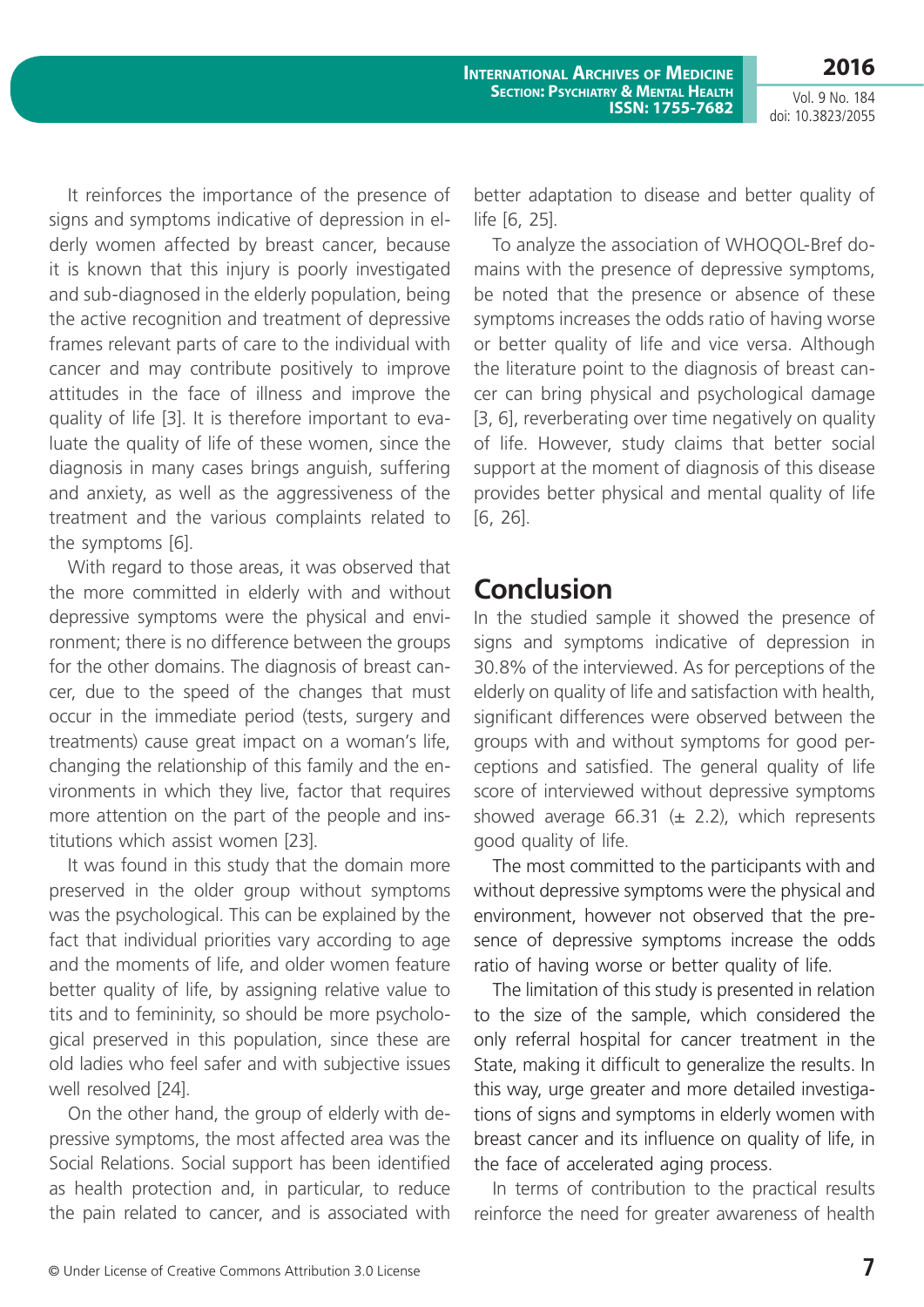**2016**

Vol. 9 No. 184 doi: 10.3823/2055

It reinforces the importance of the presence of signs and symptoms indicative of depression in elderly women affected by breast cancer, because it is known that this injury is poorly investigated and sub-diagnosed in the elderly population, being the active recognition and treatment of depressive frames relevant parts of care to the individual with cancer and may contribute positively to improve attitudes in the face of illness and improve the quality of life [3]. It is therefore important to evaluate the quality of life of these women, since the diagnosis in many cases brings anguish, suffering and anxiety, as well as the aggressiveness of the treatment and the various complaints related to the symptoms [6].

With regard to those areas, it was observed that the more committed in elderly with and without depressive symptoms were the physical and environment; there is no difference between the groups for the other domains. The diagnosis of breast cancer, due to the speed of the changes that must occur in the immediate period (tests, surgery and treatments) cause great impact on a woman's life, changing the relationship of this family and the environments in which they live, factor that requires more attention on the part of the people and institutions which assist women [23].

It was found in this study that the domain more preserved in the older group without symptoms was the psychological. This can be explained by the fact that individual priorities vary according to age and the moments of life, and older women feature better quality of life, by assigning relative value to tits and to femininity, so should be more psychological preserved in this population, since these are old ladies who feel safer and with subjective issues well resolved [24].

On the other hand, the group of elderly with depressive symptoms, the most affected area was the Social Relations. Social support has been identified as health protection and, in particular, to reduce the pain related to cancer, and is associated with better adaptation to disease and better quality of life [6, 25].

To analyze the association of WHOQOL-Bref domains with the presence of depressive symptoms, be noted that the presence or absence of these symptoms increases the odds ratio of having worse or better quality of life and vice versa. Although the literature point to the diagnosis of breast cancer can bring physical and psychological damage [3, 6], reverberating over time negatively on quality of life. However, study claims that better social support at the moment of diagnosis of this disease provides better physical and mental quality of life [6, 26].

# **Conclusion**

In the studied sample it showed the presence of signs and symptoms indicative of depression in 30.8% of the interviewed. As for perceptions of the elderly on quality of life and satisfaction with health, significant differences were observed between the groups with and without symptoms for good perceptions and satisfied. The general quality of life score of interviewed without depressive symptoms showed average 66.31 ( $\pm$  2.2), which represents good quality of life.

The most committed to the participants with and without depressive symptoms were the physical and environment, however not observed that the presence of depressive symptoms increase the odds ratio of having worse or better quality of life.

The limitation of this study is presented in relation to the size of the sample, which considered the only referral hospital for cancer treatment in the State, making it difficult to generalize the results. In this way, urge greater and more detailed investigations of signs and symptoms in elderly women with breast cancer and its influence on quality of life, in the face of accelerated aging process.

In terms of contribution to the practical results reinforce the need for greater awareness of health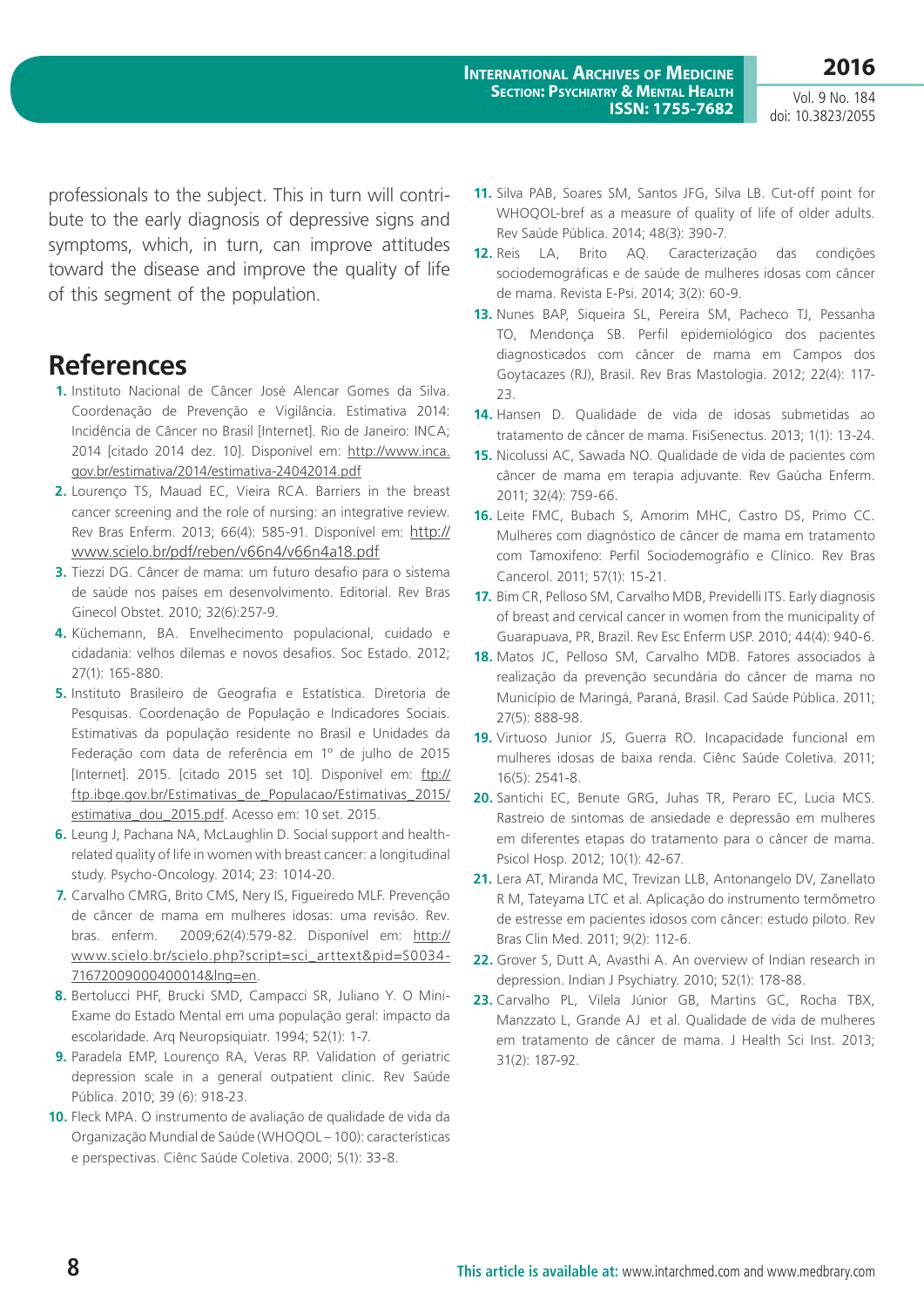Vol. 9 No. 184 doi: 10.3823/2055

professionals to the subject. This in turn will contribute to the early diagnosis of depressive signs and symptoms, which, in turn, can improve attitudes toward the disease and improve the quality of life of this segment of the population.

#### **References**

- **1.** Instituto Nacional de Câncer José Alencar Gomes da Silva. Coordenação de Prevenção e Vigilância. Estimativa 2014: Incidência de Câncer no Brasil [Internet]. Rio de Janeiro: INCA; 2014 [citado 2014 dez. 10]. Disponível em: [http://www.inca.](http://www.inca.gov.br/estimativa/2014/estimativa-24042014.pdf) [gov.br/estimativa/2014/estimativa-24042014.pdf](http://www.inca.gov.br/estimativa/2014/estimativa-24042014.pdf)
- **2.** Lourenço TS, Mauad EC, Vieira RCA. Barriers in the breast cancer screening and the role of nursing: an integrative review. Rev Bras Enferm. 2013; 66(4): 585-91. Disponível em: [http://](http://www.scielo.br/pdf/reben/v66n4/v66n4a18.pdf) [www.scielo.br/pdf/reben/v66n4/v66n4a18.pdf](http://www.scielo.br/pdf/reben/v66n4/v66n4a18.pdf)
- **3.** Tiezzi DG. Câncer de mama: um futuro desafio para o sistema de saúde nos países em desenvolvimento. Editorial. Rev Bras Ginecol Obstet. 2010; 32(6):257-9.
- **4.** Küchemann, BA. Envelhecimento populacional, cuidado e cidadania: velhos dilemas e novos desafios. Soc Estado. 2012; 27(1): 165-880.
- **5.** Instituto Brasileiro de Geografia e Estatística. Diretoria de Pesquisas. Coordenação de População e Indicadores Sociais. Estimativas da população residente no Brasil e Unidades da Federação com data de referência em 1º de julho de 2015 [Internet]. 2015. [citado 2015 set 10]. Disponível em: [ftp://](ftp://ftp.ibge.gov.br/Estimativas_de_Populacao/Estimativas_2015/estimativa_dou_2015.pdf) [ftp.ibge.gov.br/Estimativas\\_de\\_Populacao/Estimativas\\_2015/](ftp://ftp.ibge.gov.br/Estimativas_de_Populacao/Estimativas_2015/estimativa_dou_2015.pdf) [estimativa\\_dou\\_2015.pdf.](ftp://ftp.ibge.gov.br/Estimativas_de_Populacao/Estimativas_2015/estimativa_dou_2015.pdf) Acesso em: 10 set. 2015.
- **6.** Leung J, Pachana NA, McLaughlin D. Social support and healthrelated quality of life in women with breast cancer: a longitudinal study. Psycho-Oncology. 2014; 23: 1014-20.
- **7.** Carvalho CMRG, Brito CMS, Nery IS, Figueiredo MLF. Prevenção de câncer de mama em mulheres idosas: uma revisão. Rev. bras. enferm. 2009;62(4):579-82. Disponível em: [http://](http://www.scielo.br/scielo.php?script=sci_arttext&pid=S0034-71672009000400014&lng=en.) [www.scielo.br/scielo.php?script=sci\\_arttext&pid=S0034-](http://www.scielo.br/scielo.php?script=sci_arttext&pid=S0034-71672009000400014&lng=en.) [71672009000400014&lng=en.](http://www.scielo.br/scielo.php?script=sci_arttext&pid=S0034-71672009000400014&lng=en.)
- **8.** Bertolucci PHF, Brucki SMD, Campacci SR, Juliano Y. O Mini-Exame do Estado Mental em uma população geral: impacto da escolaridade. Arq Neuropsiquiatr. 1994; 52(1): 1-7.
- **9.** Paradela EMP, Lourenço RA, Veras RP. Validation of geriatric depression scale in a general outpatient clinic. Rev Saúde Pública. 2010; 39 (6): 918-23.
- **10.** Fleck MPA. O instrumento de avaliação de qualidade de vida da Organização Mundial de Saúde (WHOQOL – 100): características e perspectivas. Ciênc Saúde Coletiva. 2000; 5(1): 33-8.
- **11.** Silva PAB, Soares SM, Santos JFG, Silva LB. Cut-off point for WHOQOL-bref as a measure of quality of life of older adults. Rev Saúde Pública. 2014; 48(3): 390-7.
- **12.** Reis LA, Brito AQ. Caracterização das condições sociodemográficas e de saúde de mulheres idosas com câncer de mama. Revista E-Psi. 2014; 3(2): 60-9.
- **13.** Nunes BAP, Siqueira SL, Pereira SM, Pacheco TJ, Pessanha TO, Mendonça SB. Perfil epidemiológico dos pacientes diagnosticados com câncer de mama em Campos dos Goytacazes (RJ), Brasil. Rev Bras Mastologia. 2012; 22(4): 117- 23.
- **14.** Hansen D. Qualidade de vida de idosas submetidas ao tratamento de câncer de mama. FisiSenectus. 2013; 1(1): 13-24.
- **15.** Nicolussi AC, Sawada NO. Qualidade de vida de pacientes com câncer de mama em terapia adjuvante. Rev Gaúcha Enferm. 2011; 32(4): 759-66.
- **16.** Leite FMC, Bubach S, Amorim MHC, Castro DS, Primo CC. Mulheres com diagnóstico de câncer de mama em tratamento com Tamoxifeno: Perfil Sociodemográfio e Clínico. Rev Bras Cancerol. 2011; 57(1): 15-21.
- **17.** Bim CR, Pelloso SM, Carvalho MDB, Previdelli ITS. Early diagnosis of breast and cervical cancer in women from the municipality of Guarapuava, PR, Brazil. Rev Esc Enferm USP. 2010; 44(4): 940-6.
- **18.** Matos JC, Pelloso SM, Carvalho MDB. Fatores associados à realização da prevenção secundária do câncer de mama no Município de Maringá, Paraná, Brasil. Cad Saúde Pública. 2011; 27(5): 888-98.
- **19.** Virtuoso Junior JS, Guerra RO. Incapacidade funcional em mulheres idosas de baixa renda. Ciênc Saúde Coletiva. 2011; 16(5): 2541-8.
- **20.** Santichi EC, Benute GRG, Juhas TR, Peraro EC, Lucia MCS. Rastreio de sintomas de ansiedade e depressão em mulheres em diferentes etapas do tratamento para o câncer de mama. Psicol Hosp. 2012; 10(1): 42-67.
- **21.** Lera AT, Miranda MC, Trevizan LLB, Antonangelo DV, Zanellato R M, Tateyama LTC et al. Aplicação do instrumento termômetro de estresse em pacientes idosos com câncer: estudo piloto. Rev Bras Clin Med. 2011; 9(2): 112-6.
- **22.** Grover S, Dutt A, Avasthi A. An overview of Indian research in depression. Indian J Psychiatry. 2010; 52(1): 178-88.
- **23.** Carvalho PL, Vilela Júnior GB, Martins GC, Rocha TBX, Manzzato L, Grande AJ et al. Qualidade de vida de mulheres em tratamento de câncer de mama. J Health Sci Inst. 2013; 31(2): 187-92.